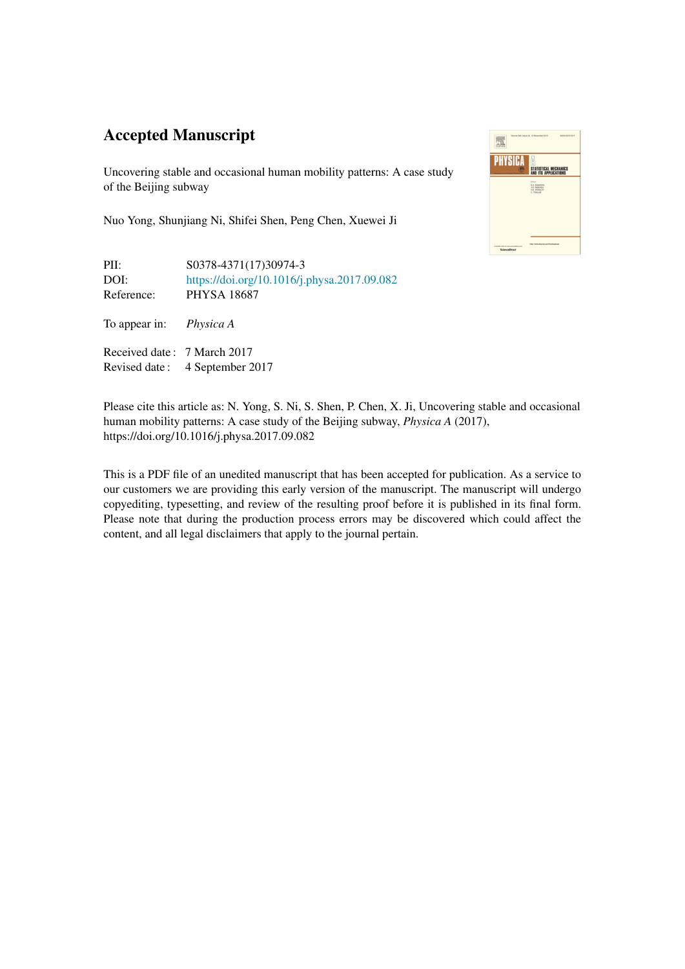## Accepted Manuscript

Uncovering stable and occasional human mobility patterns: A case study of the Beijing subway

Nuo Yong, Shunjiang Ni, Shifei Shen, Peng Chen, Xuewei Ji

PII: S0378-4371(17)30974-3 DOI: <https://doi.org/10.1016/j.physa.2017.09.082> Reference: PHYSA 18687

To appear in: *Physica A*

Received date : 7 March 2017 Revised date : 4 September 2017



Please cite this article as: N. Yong, S. Ni, S. Shen, P. Chen, X. Ji, Uncovering stable and occasional human mobility patterns: A case study of the Beijing subway, *Physica A* (2017), https://doi.org/10.1016/j.physa.2017.09.082

This is a PDF file of an unedited manuscript that has been accepted for publication. As a service to our customers we are providing this early version of the manuscript. The manuscript will undergo copyediting, typesetting, and review of the resulting proof before it is published in its final form. Please note that during the production process errors may be discovered which could affect the content, and all legal disclaimers that apply to the journal pertain.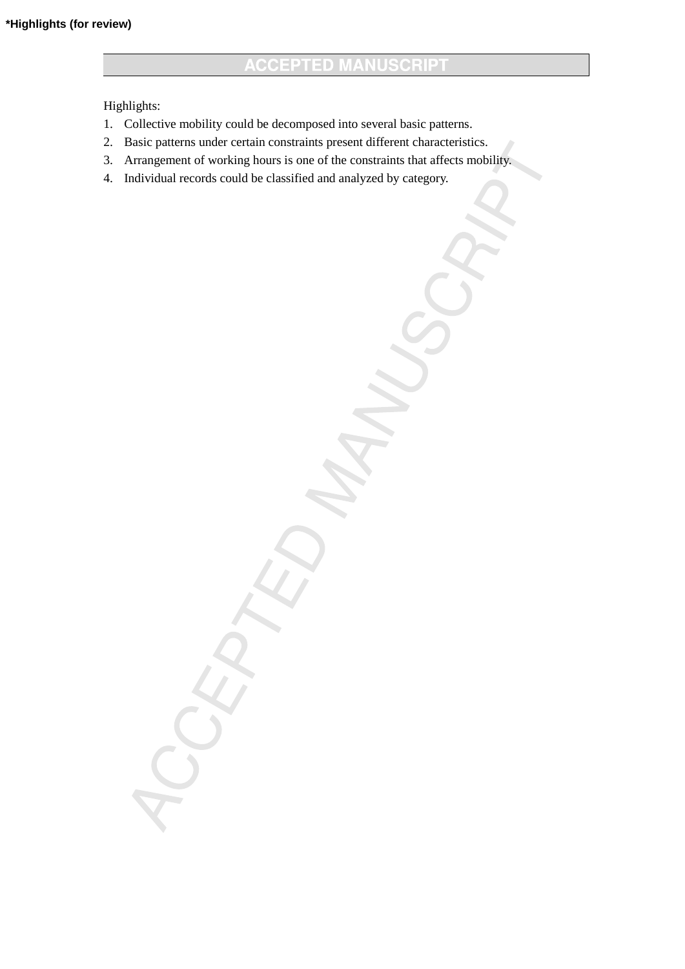Highlights:

- 1. Collective mobility could be decomposed into several basic patterns.
- 2. Basic patterns under certain constraints present different characteristics.
- 3. Arrangement of working hours is one of the constraints that affects mobility.
- 4. Individual records could be classified and analyzed by category.